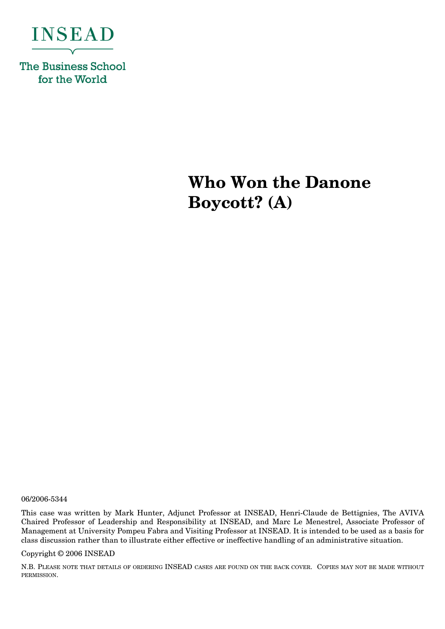

**The Business School** for the World

# **Who Won the Danone Boycott? (A)**

06/2006-5344

This case was written by Mark Hunter, Adjunct Professor at INSEAD, Henri-Claude de Bettignies, The AVIVA Chaired Professor of Leadership and Responsibility at INSEAD, and Marc Le Menestrel, Associate Professor of Management at University Pompeu Fabra and Visiting Professor at INSEAD. It is intended to be used as a basis for class discussion rather than to illustrate either effective or ineffective handling of an administrative situation.

#### Copyright © 2006 INSEAD

N.B. PLEASE NOTE THAT DETAILS OF ORDERING INSEAD CASES ARE FOUND ON THE BACK COVER. COPIES MAY NOT BE MADE WITHOUT PERMISSION.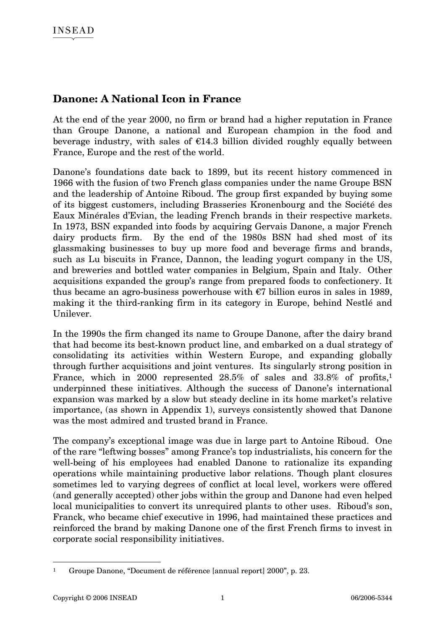### **Danone: A National Icon in France**

At the end of the year 2000, no firm or brand had a higher reputation in France than Groupe Danone, a national and European champion in the food and beverage industry, with sales of  $E14.3$  billion divided roughly equally between France, Europe and the rest of the world.

Danone's foundations date back to 1899, but its recent history commenced in 1966 with the fusion of two French glass companies under the name Groupe BSN and the leadership of Antoine Riboud. The group first expanded by buying some of its biggest customers, including Brasseries Kronenbourg and the Société des Eaux Minérales d'Evian, the leading French brands in their respective markets. In 1973, BSN expanded into foods by acquiring Gervais Danone, a major French dairy products firm. By the end of the 1980s BSN had shed most of its glassmaking businesses to buy up more food and beverage firms and brands, such as Lu biscuits in France, Dannon, the leading yogurt company in the US, and breweries and bottled water companies in Belgium, Spain and Italy. Other acquisitions expanded the group's range from prepared foods to confectionery. It thus became an agro-business powerhouse with  $\epsilon$ 7 billion euros in sales in 1989, making it the third-ranking firm in its category in Europe, behind Nestlé and Unilever.

In the 1990s the firm changed its name to Groupe Danone, after the dairy brand that had become its best-known product line, and embarked on a dual strategy of consolidating its activities within Western Europe, and expanding globally through further acquisitions and joint ventures. Its singularly strong position in France, which in 2000 represented 28.5% of sales and 33.8% of profits,<sup>1</sup> underpinned these initiatives. Although the success of Danone's international expansion was marked by a slow but steady decline in its home market's relative importance, (as shown in Appendix 1), surveys consistently showed that Danone was the most admired and trusted brand in France.

The company's exceptional image was due in large part to Antoine Riboud. One of the rare "leftwing bosses" among France's top industrialists, his concern for the well-being of his employees had enabled Danone to rationalize its expanding operations while maintaining productive labor relations. Though plant closures sometimes led to varying degrees of conflict at local level, workers were offered (and generally accepted) other jobs within the group and Danone had even helped local municipalities to convert its unrequired plants to other uses. Riboud's son, Franck, who became chief executive in 1996, had maintained these practices and reinforced the brand by making Danone one of the first French firms to invest in corporate social responsibility initiatives.

 $\overline{a}$ 1 Groupe Danone, "Document de référence [annual report] 2000", p. 23.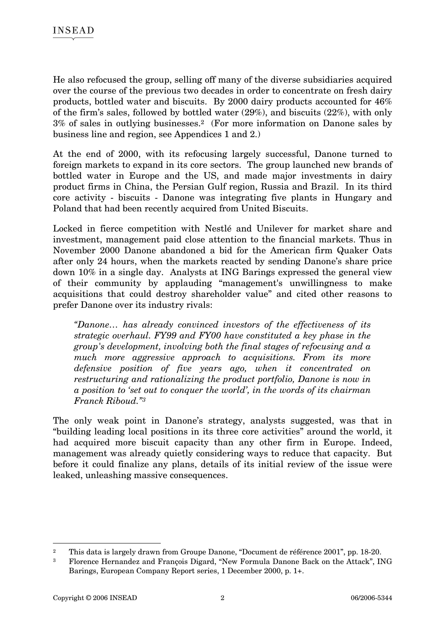He also refocused the group, selling off many of the diverse subsidiaries acquired over the course of the previous two decades in order to concentrate on fresh dairy products, bottled water and biscuits. By 2000 dairy products accounted for 46% of the firm's sales, followed by bottled water (29%), and biscuits (22%), with only 3% of sales in outlying businesses.2 (For more information on Danone sales by business line and region, see Appendices 1 and 2.)

At the end of 2000, with its refocusing largely successful, Danone turned to foreign markets to expand in its core sectors. The group launched new brands of bottled water in Europe and the US, and made major investments in dairy product firms in China, the Persian Gulf region, Russia and Brazil. In its third core activity - biscuits - Danone was integrating five plants in Hungary and Poland that had been recently acquired from United Biscuits.

Locked in fierce competition with Nestlé and Unilever for market share and investment, management paid close attention to the financial markets. Thus in November 2000 Danone abandoned a bid for the American firm Quaker Oats after only 24 hours, when the markets reacted by sending Danone's share price down 10% in a single day. Analysts at ING Barings expressed the general view of their community by applauding "management's unwillingness to make acquisitions that could destroy shareholder value" and cited other reasons to prefer Danone over its industry rivals:

*"Danone… has already convinced investors of the effectiveness of its strategic overhaul. FY99 and FY00 have constituted a key phase in the group's development, involving both the final stages of refocusing and a much more aggressive approach to acquisitions. From its more defensive position of five years ago, when it concentrated on restructuring and rationalizing the product portfolio, Danone is now in a position to 'set out to conquer the world', in the words of its chairman Franck Riboud."3*

The only weak point in Danone's strategy, analysts suggested, was that in "building leading local positions in its three core activities" around the world, it had acquired more biscuit capacity than any other firm in Europe. Indeed, management was already quietly considering ways to reduce that capacity. But before it could finalize any plans, details of its initial review of the issue were leaked, unleashing massive consequences.

<sup>2</sup> This data is largely drawn from Groupe Danone, "Document de référence 2001", pp. 18-20.

<sup>3</sup> Florence Hernandez and François Digard, "New Formula Danone Back on the Attack", ING Barings, European Company Report series, 1 December 2000, p. 1+.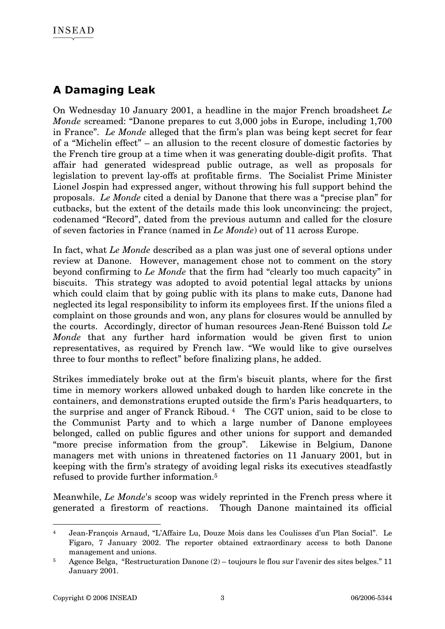### **A Damaging Leak**

On Wednesday 10 January 2001, a headline in the major French broadsheet *Le Monde* screamed: "Danone prepares to cut 3,000 jobs in Europe, including 1,700 in France". *Le Monde* alleged that the firm's plan was being kept secret for fear of a "Michelin effect" – an allusion to the recent closure of domestic factories by the French tire group at a time when it was generating double-digit profits. That affair had generated widespread public outrage, as well as proposals for legislation to prevent lay-offs at profitable firms. The Socialist Prime Minister Lionel Jospin had expressed anger, without throwing his full support behind the proposals. *Le Monde* cited a denial by Danone that there was a "precise plan" for cutbacks, but the extent of the details made this look unconvincing: the project, codenamed "Record", dated from the previous autumn and called for the closure of seven factories in France (named in *Le Monde*) out of 11 across Europe.

In fact, what *Le Monde* described as a plan was just one of several options under review at Danone. However, management chose not to comment on the story beyond confirming to *Le Monde* that the firm had "clearly too much capacity" in biscuits. This strategy was adopted to avoid potential legal attacks by unions which could claim that by going public with its plans to make cuts, Danone had neglected its legal responsibility to inform its employees first. If the unions filed a complaint on those grounds and won, any plans for closures would be annulled by the courts. Accordingly, director of human resources Jean-René Buisson told *Le Monde* that any further hard information would be given first to union representatives, as required by French law. "We would like to give ourselves three to four months to reflect" before finalizing plans, he added.

Strikes immediately broke out at the firm's biscuit plants, where for the first time in memory workers allowed unbaked dough to harden like concrete in the containers, and demonstrations erupted outside the firm's Paris headquarters, to the surprise and anger of Franck Riboud. 4 The CGT union, said to be close to the Communist Party and to which a large number of Danone employees belonged, called on public figures and other unions for support and demanded "more precise information from the group". Likewise in Belgium, Danone managers met with unions in threatened factories on 11 January 2001, but in keeping with the firm's strategy of avoiding legal risks its executives steadfastly refused to provide further information.5

Meanwhile, *Le Monde*'s scoop was widely reprinted in the French press where it generated a firestorm of reactions. Though Danone maintained its official

<sup>4</sup> Jean-François Arnaud, "L'Affaire Lu, Douze Mois dans les Coulisses d'un Plan Social". Le Figaro, 7 January 2002. The reporter obtained extraordinary access to both Danone management and unions.

<sup>&</sup>lt;sup>5</sup> Agence Belga, "Restructuration Danone  $(2)$  – toujours le flou sur l'avenir des sites belges." 11 January 2001.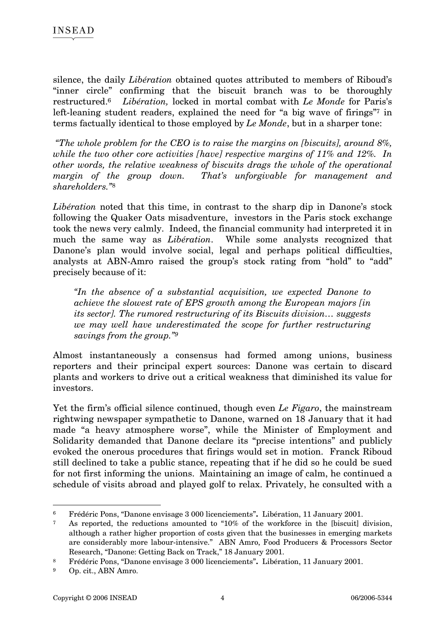silence, the daily *Libération* obtained quotes attributed to members of Riboud's "inner circle" confirming that the biscuit branch was to be thoroughly restructured.6 *Libération,* locked in mortal combat with *Le Monde* for Paris's left-leaning student readers, explained the need for "a big wave of firings"<sup>7</sup> in terms factually identical to those employed by *Le Monde*, but in a sharper tone:

 *"The whole problem for the CEO is to raise the margins on [biscuits], around 8%, while the two other core activities [have] respective margins of 11% and 12%. In other words, the relative weakness of biscuits drags the whole of the operational margin of the group down. That's unforgivable for management and shareholders."*8

*Libération* noted that this time, in contrast to the sharp dip in Danone's stock following the Quaker Oats misadventure, investors in the Paris stock exchange took the news very calmly. Indeed, the financial community had interpreted it in much the same way as *Libération*. While some analysts recognized that Danone's plan would involve social, legal and perhaps political difficulties, analysts at ABN-Amro raised the group's stock rating from "hold" to "add" precisely because of it:

*"In the absence of a substantial acquisition, we expected Danone to achieve the slowest rate of EPS growth among the European majors [in its sector]. The rumored restructuring of its Biscuits division… suggests we may well have underestimated the scope for further restructuring savings from the group."9*

Almost instantaneously a consensus had formed among unions, business reporters and their principal expert sources: Danone was certain to discard plants and workers to drive out a critical weakness that diminished its value for investors.

Yet the firm's official silence continued, though even *Le Figaro*, the mainstream rightwing newspaper sympathetic to Danone, warned on 18 January that it had made "a heavy atmosphere worse", while the Minister of Employment and Solidarity demanded that Danone declare its "precise intentions" and publicly evoked the onerous procedures that firings would set in motion. Franck Riboud still declined to take a public stance, repeating that if he did so he could be sued for not first informing the unions. Maintaining an image of calm, he continued a schedule of visits abroad and played golf to relax. Privately, he consulted with a

 $\overline{a}$ 6 Frédéric Pons, "Danone envisage 3 000 licenciements"**.** Libération, 11 January 2001.

<sup>7</sup> As reported, the reductions amounted to "10% of the workforce in the [biscuit] division, although a rather higher proportion of costs given that the businesses in emerging markets are considerably more labour-intensive." ABN Amro, Food Producers & Processors Sector Research, "Danone: Getting Back on Track," 18 January 2001.

<sup>8</sup> Frédéric Pons, "Danone envisage 3 000 licenciements"**.** Libération, 11 January 2001.

<sup>9</sup> Op. cit., ABN Amro.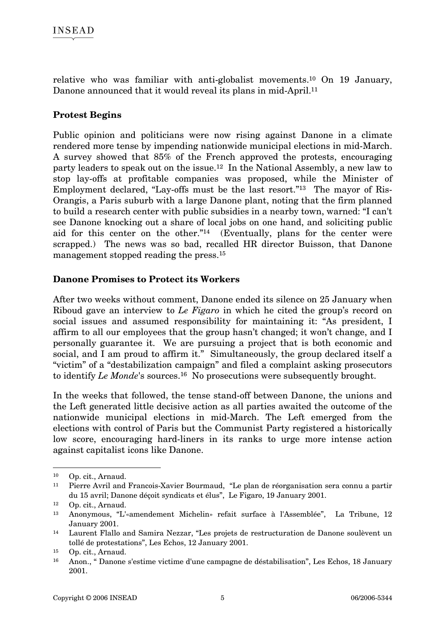relative who was familiar with anti-globalist movements.10 On 19 January, Danone announced that it would reveal its plans in mid-April.<sup>11</sup>

### **Protest Begins**

Public opinion and politicians were now rising against Danone in a climate rendered more tense by impending nationwide municipal elections in mid-March. A survey showed that 85% of the French approved the protests, encouraging party leaders to speak out on the issue.12 In the National Assembly, a new law to stop lay-offs at profitable companies was proposed, while the Minister of Employment declared, "Lay-offs must be the last resort."13 The mayor of Ris-Orangis, a Paris suburb with a large Danone plant, noting that the firm planned to build a research center with public subsidies in a nearby town, warned: "I can't see Danone knocking out a share of local jobs on one hand, and soliciting public aid for this center on the other."14 (Eventually, plans for the center were scrapped.) The news was so bad, recalled HR director Buisson, that Danone management stopped reading the press.15

#### **Danone Promises to Protect its Workers**

After two weeks without comment, Danone ended its silence on 25 January when Riboud gave an interview to *Le Figaro* in which he cited the group's record on social issues and assumed responsibility for maintaining it: "As president, I affirm to all our employees that the group hasn't changed; it won't change, and I personally guarantee it. We are pursuing a project that is both economic and social, and I am proud to affirm it." Simultaneously, the group declared itself a "victim" of a "destabilization campaign" and filed a complaint asking prosecutors to identify *Le Monde*'s sources.16 No prosecutions were subsequently brought.

In the weeks that followed, the tense stand-off between Danone, the unions and the Left generated little decisive action as all parties awaited the outcome of the nationwide municipal elections in mid-March. The Left emerged from the elections with control of Paris but the Communist Party registered a historically low score, encouraging hard-liners in its ranks to urge more intense action against capitalist icons like Danone.

<sup>10</sup> Op. cit., Arnaud.

<sup>11</sup> Pierre Avril and Francois-Xavier Bourmaud, "Le plan de réorganisation sera connu a partir du 15 avril; Danone déçoit syndicats et élus", Le Figaro, 19 January 2001.

<sup>12</sup> Op. cit., Arnaud.

<sup>13</sup> Anonymous, "L'«amendement Michelin» refait surface à l'Assemblée", La Tribune, 12 January 2001.

<sup>14</sup> Laurent Flallo and Samira Nezzar, "Les projets de restructuration de Danone soulèvent un tollé de protestations", Les Echos, 12 January 2001.

<sup>15</sup> Op. cit., Arnaud.

<sup>16</sup> Anon., " Danone s'estime victime d'une campagne de déstabilisation", Les Echos, 18 January 2001.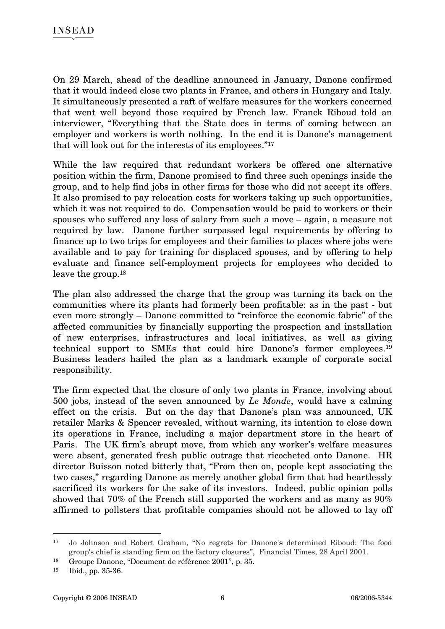On 29 March, ahead of the deadline announced in January, Danone confirmed that it would indeed close two plants in France, and others in Hungary and Italy. It simultaneously presented a raft of welfare measures for the workers concerned that went well beyond those required by French law. Franck Riboud told an interviewer, "Everything that the State does in terms of coming between an employer and workers is worth nothing. In the end it is Danone's management that will look out for the interests of its employees."17

While the law required that redundant workers be offered one alternative position within the firm, Danone promised to find three such openings inside the group, and to help find jobs in other firms for those who did not accept its offers. It also promised to pay relocation costs for workers taking up such opportunities, which it was not required to do. Compensation would be paid to workers or their spouses who suffered any loss of salary from such a move – again, a measure not required by law. Danone further surpassed legal requirements by offering to finance up to two trips for employees and their families to places where jobs were available and to pay for training for displaced spouses, and by offering to help evaluate and finance self-employment projects for employees who decided to leave the group.18

The plan also addressed the charge that the group was turning its back on the communities where its plants had formerly been profitable: as in the past - but even more strongly – Danone committed to "reinforce the economic fabric" of the affected communities by financially supporting the prospection and installation of new enterprises, infrastructures and local initiatives, as well as giving technical support to SMEs that could hire Danone's former employees.19 Business leaders hailed the plan as a landmark example of corporate social responsibility.

The firm expected that the closure of only two plants in France, involving about 500 jobs, instead of the seven announced by *Le Monde*, would have a calming effect on the crisis. But on the day that Danone's plan was announced, UK retailer Marks & Spencer revealed, without warning, its intention to close down its operations in France, including a major department store in the heart of Paris. The UK firm's abrupt move, from which any worker's welfare measures were absent, generated fresh public outrage that ricocheted onto Danone. HR director Buisson noted bitterly that, "From then on, people kept associating the two cases," regarding Danone as merely another global firm that had heartlessly sacrificed its workers for the sake of its investors. Indeed, public opinion polls showed that 70% of the French still supported the workers and as many as 90% affirmed to pollsters that profitable companies should not be allowed to lay off

<sup>17</sup> Jo Johnson and Robert Graham, "No regrets for Danone'**s** determined Riboud: The food group's chief is standing firm on the factory closures", Financial Times, 28 April 2001.

<sup>18</sup> Groupe Danone, "Document de référence 2001", p. 35.

<sup>19</sup> Ibid., pp. 35-36.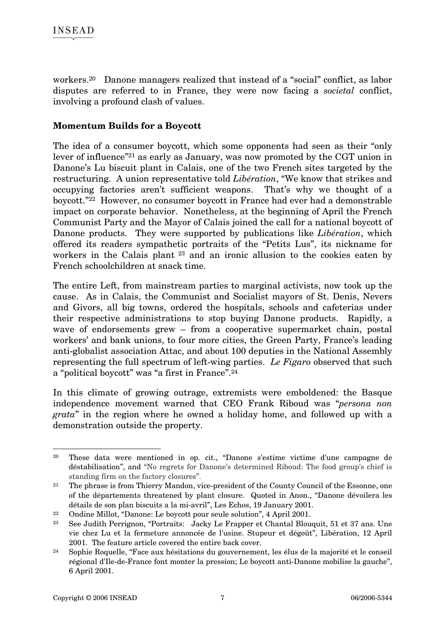workers.20 Danone managers realized that instead of a "social" conflict, as labor disputes are referred to in France, they were now facing a *societal* conflict, involving a profound clash of values.

#### **Momentum Builds for a Boycott**

The idea of a consumer boycott, which some opponents had seen as their "only lever of influence"21 as early as January, was now promoted by the CGT union in Danone's Lu biscuit plant in Calais, one of the two French sites targeted by the restructuring. A union representative told *Libération*, "We know that strikes and occupying factories aren't sufficient weapons. That's why we thought of a boycott."22 However, no consumer boycott in France had ever had a demonstrable impact on corporate behavior. Nonetheless, at the beginning of April the French Communist Party and the Mayor of Calais joined the call for a national boycott of Danone products. They were supported by publications like *Libération*, which offered its readers sympathetic portraits of the "Petits Lus", its nickname for workers in the Calais plant 23 and an ironic allusion to the cookies eaten by French schoolchildren at snack time.

The entire Left, from mainstream parties to marginal activists, now took up the cause. As in Calais, the Communist and Socialist mayors of St. Denis, Nevers and Givors, all big towns, ordered the hospitals, schools and cafeterias under their respective administrations to stop buying Danone products. Rapidly, a wave of endorsements grew – from a cooperative supermarket chain, postal workers' and bank unions, to four more cities, the Green Party, France's leading anti-globalist association Attac, and about 100 deputies in the National Assembly representing the full spectrum of left-wing parties. *Le Figaro* observed that such a "political boycott" was "a first in France".24

In this climate of growing outrage, extremists were emboldened: the Basque independence movement warned that CEO Frank Riboud was "*persona non grata*" in the region where he owned a holiday home, and followed up with a demonstration outside the property.

 $\overline{a}$ 20 These data were mentioned in op. cit., "Danone s'estime victime d'une campagne de déstabilisation", and "No regrets for Danone's determined Riboud: The food group's chief is standing firm on the factory closures".

<sup>&</sup>lt;sup>21</sup> The phrase is from Thierry Mandon, vice-president of the County Council of the Essonne, one of the départements threatened by plant closure. Quoted in Anon., "Danone dévoilera les détails de son plan biscuits a la mi-avril", Les Echos, 19 January 2001.

<sup>22</sup> Ondine Millot, "Danone: Le boycott pour seule solution", 4 April 2001.

<sup>23</sup> See Judith Perrignon, "Portraits: Jacky Le Frapper et Chantal Blouquit, 51 et 37 ans. Une vie chez Lu et la fermeture annoncée de l'usine. Stupeur et dégoût", Libération, 12 April 2001. The feature article covered the entire back cover.

<sup>24</sup> Sophie Roquelle, "Face aux hésitations du gouvernement, les élus de la majorité et le conseil régional d'Ile-de-France font monter la pression; Le boycott anti-Danone mobilise la gauche", 6 April 2001.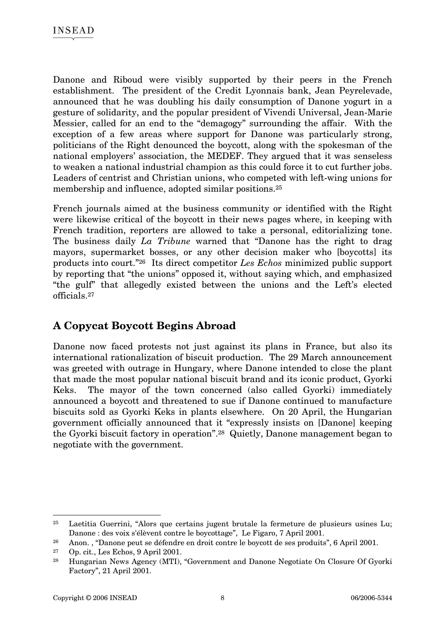Danone and Riboud were visibly supported by their peers in the French establishment. The president of the Credit Lyonnais bank, Jean Peyrelevade, announced that he was doubling his daily consumption of Danone yogurt in a gesture of solidarity, and the popular president of Vivendi Universal, Jean-Marie Messier, called for an end to the "demagogy" surrounding the affair. With the exception of a few areas where support for Danone was particularly strong, politicians of the Right denounced the boycott, along with the spokesman of the national employers' association, the MEDEF. They argued that it was senseless to weaken a national industrial champion as this could force it to cut further jobs. Leaders of centrist and Christian unions, who competed with left-wing unions for membership and influence, adopted similar positions.25

French journals aimed at the business community or identified with the Right were likewise critical of the boycott in their news pages where, in keeping with French tradition, reporters are allowed to take a personal, editorializing tone. The business daily *La Tribune* warned that "Danone has the right to drag mayors, supermarket bosses, or any other decision maker who [boycotts] its products into court."26 Its direct competitor *Les Echos* minimized public support by reporting that "the unions" opposed it, without saying which, and emphasized "the gulf" that allegedly existed between the unions and the Left's elected officials.27

### **A Copycat Boycott Begins Abroad**

Danone now faced protests not just against its plans in France, but also its international rationalization of biscuit production. The 29 March announcement was greeted with outrage in Hungary, where Danone intended to close the plant that made the most popular national biscuit brand and its iconic product, Gyorki Keks. The mayor of the town concerned (also called Gyorki) immediately announced a boycott and threatened to sue if Danone continued to manufacture biscuits sold as Gyorki Keks in plants elsewhere. On 20 April, the Hungarian government officially announced that it "expressly insists on [Danone] keeping the Gyorki biscuit factory in operation".28 Quietly, Danone management began to negotiate with the government.

<sup>25</sup> Laetitia Guerrini, "Alors que certains jugent brutale la fermeture de plusieurs usines Lu; Danone : des voix s'élèvent contre le boycottage", Le Figaro, 7 April 2001.

<sup>26</sup> Anon. , "Danone peut se défendre en droit contre le boycott de ses produits", 6 April 2001.

<sup>27</sup> Op. cit., Les Echos, 9 April 2001.

<sup>28</sup> Hungarian News Agency (MTI), "Government and Danone Negotiate On Closure Of Gyorki Factory", 21 April 2001.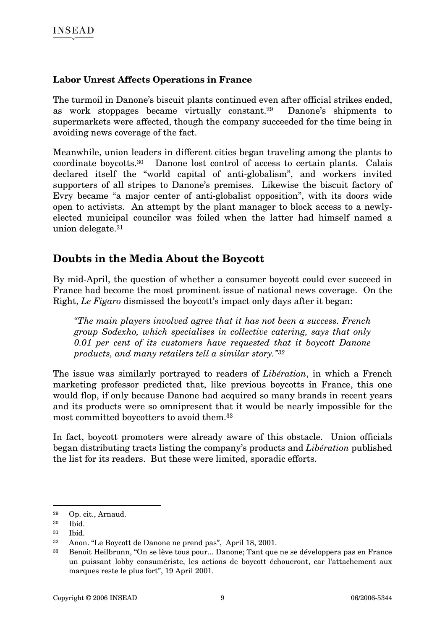#### **Labor Unrest Affects Operations in France**

The turmoil in Danone's biscuit plants continued even after official strikes ended, as work stoppages became virtually constant.29 Danone's shipments to supermarkets were affected, though the company succeeded for the time being in avoiding news coverage of the fact.

Meanwhile, union leaders in different cities began traveling among the plants to coordinate boycotts.30 Danone lost control of access to certain plants. Calais declared itself the "world capital of anti-globalism", and workers invited supporters of all stripes to Danone's premises. Likewise the biscuit factory of Evry became "a major center of anti-globalist opposition", with its doors wide open to activists. An attempt by the plant manager to block access to a newlyelected municipal councilor was foiled when the latter had himself named a union delegate.31

### **Doubts in the Media About the Boycott**

By mid-April, the question of whether a consumer boycott could ever succeed in France had become the most prominent issue of national news coverage. On the Right, *Le Figaro* dismissed the boycott's impact only days after it began:

*"The main players involved agree that it has not been a success. French group Sodexho, which specialises in collective catering, says that only 0.01 per cent of its customers have requested that it boycott Danone products, and many retailers tell a similar story."32* 

The issue was similarly portrayed to readers of *Libération*, in which a French marketing professor predicted that, like previous boycotts in France, this one would flop, if only because Danone had acquired so many brands in recent years and its products were so omnipresent that it would be nearly impossible for the most committed boycotters to avoid them.33

In fact, boycott promoters were already aware of this obstacle. Union officials began distributing tracts listing the company's products and *Libération* published the list for its readers. But these were limited, sporadic efforts.

<sup>29</sup> Op. cit., Arnaud.

<sup>30</sup> Ibid.

<sup>31</sup> Ibid.

<sup>32</sup> Anon. "Le Boycott de Danone ne prend pas", April 18, 2001.

<sup>33</sup> Benoit Heilbrunn, "On se lève tous pour... Danone; Tant que ne se développera pas en France un puissant lobby consumériste, les actions de boycott échoueront, car l'attachement aux marques reste le plus fort", 19 April 2001.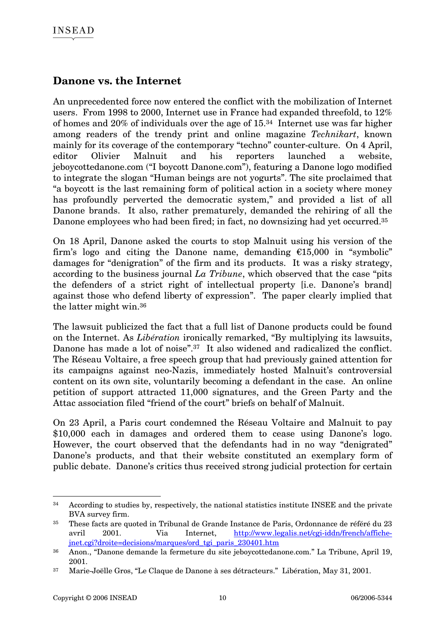### **Danone vs. the Internet**

An unprecedented force now entered the conflict with the mobilization of Internet users. From 1998 to 2000, Internet use in France had expanded threefold, to 12% of homes and 20% of individuals over the age of 15.34 Internet use was far higher among readers of the trendy print and online magazine *Technikart*, known mainly for its coverage of the contemporary "techno" counter-culture. On 4 April, editor Olivier Malnuit and his reporters launched a website, jeboycottedanone.com ("I boycott Danone.com"), featuring a Danone logo modified to integrate the slogan "Human beings are not yogurts". The site proclaimed that "a boycott is the last remaining form of political action in a society where money has profoundly perverted the democratic system," and provided a list of all Danone brands. It also, rather prematurely, demanded the rehiring of all the Danone employees who had been fired; in fact, no downsizing had yet occurred.<sup>35</sup>

On 18 April, Danone asked the courts to stop Malnuit using his version of the firm's logo and citing the Danone name, demanding  $\epsilon$ 15,000 in "symbolic" damages for "denigration" of the firm and its products. It was a risky strategy, according to the business journal *La Tribune*, which observed that the case "pits the defenders of a strict right of intellectual property [i.e. Danone's brand] against those who defend liberty of expression". The paper clearly implied that the latter might win.36

The lawsuit publicized the fact that a full list of Danone products could be found on the Internet. As *Libération* ironically remarked, "By multiplying its lawsuits, Danone has made a lot of noise".<sup>37</sup> It also widened and radicalized the conflict. The Réseau Voltaire, a free speech group that had previously gained attention for its campaigns against neo-Nazis, immediately hosted Malnuit's controversial content on its own site, voluntarily becoming a defendant in the case. An online petition of support attracted 11,000 signatures, and the Green Party and the Attac association filed "friend of the court" briefs on behalf of Malnuit.

On 23 April, a Paris court condemned the Réseau Voltaire and Malnuit to pay \$10,000 each in damages and ordered them to cease using Danone's logo. However, the court observed that the defendants had in no way "denigrated" Danone's products, and that their website constituted an exemplary form of public debate. Danone's critics thus received strong judicial protection for certain

<sup>&</sup>lt;sup>34</sup> According to studies by, respectively, the national statistics institute INSEE and the private BVA survey firm.

<sup>35</sup> These facts are quoted in Tribunal de Grande Instance de Paris, Ordonnance de référé du 23 avril 2001. Via Internet, http://www.legalis.net/cgi-iddn/french/affichejnet.cgi?droite=decisions/marques/ord\_tgi\_paris\_230401.htm

<sup>36</sup> Anon., "Danone demande la fermeture du site jeboycottedanone.com." La Tribune, April 19, 2001.

<sup>37</sup> Marie-Joëlle Gros, "Le Claque de Danone à ses détracteurs." Libération, May 31, 2001.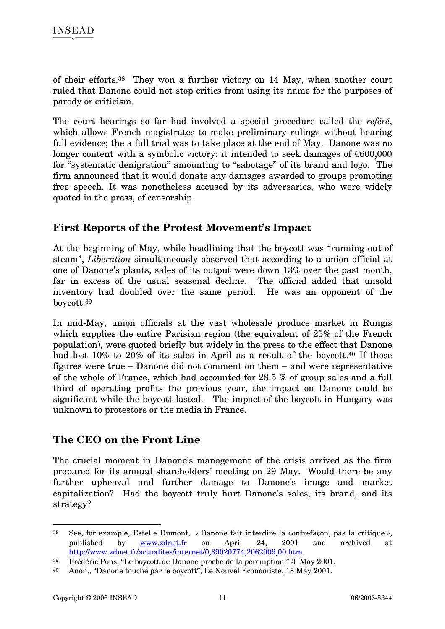of their efforts.38 They won a further victory on 14 May, when another court ruled that Danone could not stop critics from using its name for the purposes of parody or criticism.

The court hearings so far had involved a special procedure called the *reféré*, which allows French magistrates to make preliminary rulings without hearing full evidence; the a full trial was to take place at the end of May. Danone was no longer content with a symbolic victory: it intended to seek damages of  $\epsilon$ 600,000 for "systematic denigration" amounting to "sabotage" of its brand and logo. The firm announced that it would donate any damages awarded to groups promoting free speech. It was nonetheless accused by its adversaries, who were widely quoted in the press, of censorship.

### **First Reports of the Protest Movement's Impact**

At the beginning of May, while headlining that the boycott was "running out of steam", *Libération* simultaneously observed that according to a union official at one of Danone's plants, sales of its output were down 13% over the past month, far in excess of the usual seasonal decline. The official added that unsold inventory had doubled over the same period. He was an opponent of the boycott.39

In mid-May, union officials at the vast wholesale produce market in Rungis which supplies the entire Parisian region (the equivalent of 25% of the French population), were quoted briefly but widely in the press to the effect that Danone had lost 10% to 20% of its sales in April as a result of the boycott.<sup>40</sup> If those figures were true – Danone did not comment on them – and were representative of the whole of France, which had accounted for 28.5 % of group sales and a full third of operating profits the previous year, the impact on Danone could be significant while the boycott lasted. The impact of the boycott in Hungary was unknown to protestors or the media in France.

### **The CEO on the Front Line**

The crucial moment in Danone's management of the crisis arrived as the firm prepared for its annual shareholders' meeting on 29 May. Would there be any further upheaval and further damage to Danone's image and market capitalization? Had the boycott truly hurt Danone's sales, its brand, and its strategy?

<sup>38</sup> See, for example, Estelle Dumont, « Danone fait interdire la contrefaçon, pas la critique », published by www.zdnet.fr on April 24, 2001 and archived at http://www.zdnet.fr/actualites/internet/0,39020774,2062909,00.htm.

<sup>39</sup> Frédéric Pons, "Le boycott de Danone proche de la péremption." 3 May 2001.

<sup>40</sup> Anon., "Danone touché par le boycott", Le Nouvel Economiste, 18 May 2001.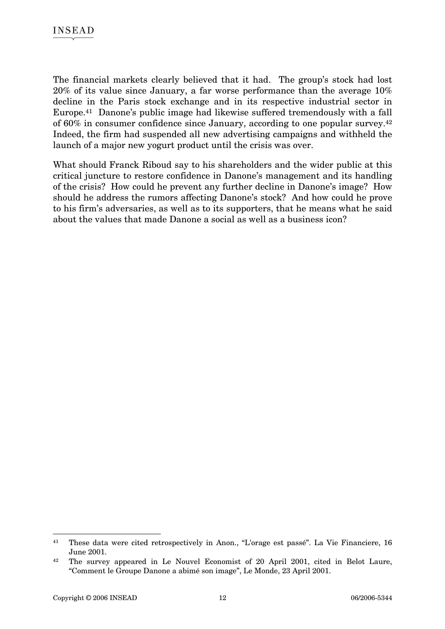The financial markets clearly believed that it had. The group's stock had lost 20% of its value since January, a far worse performance than the average 10% decline in the Paris stock exchange and in its respective industrial sector in Europe.41 Danone's public image had likewise suffered tremendously with a fall of 60% in consumer confidence since January, according to one popular survey.42 Indeed, the firm had suspended all new advertising campaigns and withheld the launch of a major new yogurt product until the crisis was over.

What should Franck Riboud say to his shareholders and the wider public at this critical juncture to restore confidence in Danone's management and its handling of the crisis? How could he prevent any further decline in Danone's image? How should he address the rumors affecting Danone's stock? And how could he prove to his firm's adversaries, as well as to its supporters, that he means what he said about the values that made Danone a social as well as a business icon?

<sup>41</sup> These data were cited retrospectively in Anon., "L'orage est passé". La Vie Financiere, 16 June 2001.

<sup>42</sup> The survey appeared in Le Nouvel Economist of 20 April 2001, cited in Belot Laure, "Comment le Groupe Danone a abimé son image", Le Monde, 23 April 2001.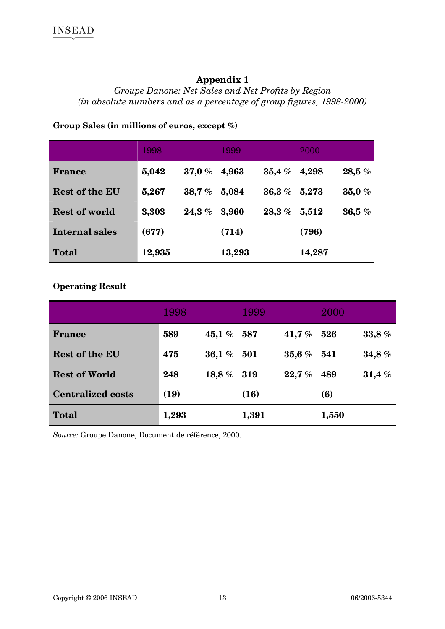### **Appendix 1**

### *Groupe Danone: Net Sales and Net Profits by Region (in absolute numbers and as a percentage of group figures, 1998-2000)*

#### **Group Sales (in millions of euros, except %)**

|                       | 1998   |            | 1999   |                     | 2000   |            |
|-----------------------|--------|------------|--------|---------------------|--------|------------|
| <b>France</b>         | 5,042  | $37.0\ \%$ | 4,963  | $\mathbf{35.4}\ \%$ | 4,298  | 28,5%      |
| <b>Rest of the EU</b> | 5,267  | 38,7%      | 5,084  | $36.3\ \%$          | 5,273  | $35,0\ \%$ |
| <b>Rest of world</b>  | 3,303  | $24.3\ \%$ | 3,960  | $\pmb{28.3\ \%}$    | 5,512  | 36,5%      |
| <b>Internal sales</b> | (677)  |            | (714)  |                     | (796)  |            |
| <b>Total</b>          | 12,935 |            | 13,293 |                     | 14,287 |            |

#### **Operating Result**

|                          | 1998  |           | 1999  |          | 2000  |       |
|--------------------------|-------|-----------|-------|----------|-------|-------|
| <b>France</b>            | 589   | 45,1 %    | 587   | 41,7 $%$ | 526   | 33,8% |
| <b>Rest of the EU</b>    | 475   | 36,1%     | 501   | 35,6%    | 541   | 34,8% |
| <b>Rest of World</b>     | 248   | 18,8 $\%$ | 319   | 22.7%    | 489   | 31,4% |
| <b>Centralized costs</b> | (19)  |           | (16)  |          | (6)   |       |
| <b>Total</b>             | 1,293 |           | 1,391 |          | 1,550 |       |

*Source:* Groupe Danone, Document de référence, 2000.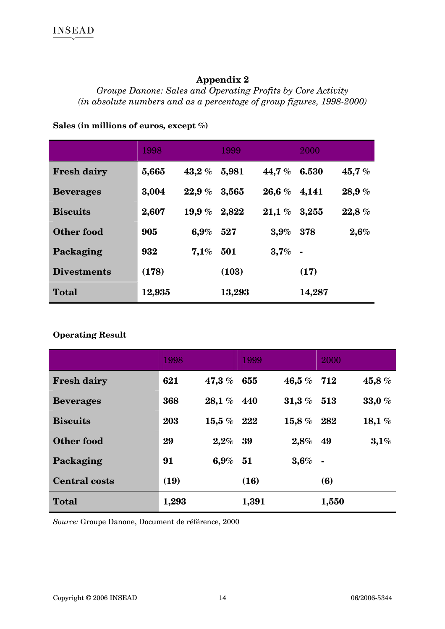### **Appendix 2**

*Groupe Danone: Sales and Operating Profits by Core Activity (in absolute numbers and as a percentage of group figures, 1998-2000)* 

#### **Sales (in millions of euros, except %)**

|                    | 1998   |           | 1999   |                     | 2000           |       |
|--------------------|--------|-----------|--------|---------------------|----------------|-------|
| <b>Fresh dairy</b> | 5,665  | 43,2%     | 5,981  | 44,7 $%$            | 6.530          | 45,7% |
| <b>Beverages</b>   | 3,004  | 22.9%     | 3,565  | $26.6\ \%$          | 4,141          | 28,9% |
| <b>Biscuits</b>    | 2,607  | 19,9 $\%$ | 2,822  | $\textbf{21.1}\ \%$ | 3,255          | 22,8% |
| Other food         | 905    | 6.9%      | 527    | $3.9\%$             | 378            | 2,6%  |
| Packaging          | 932    | 7,1%      | 501    | 3,7%                | $\blacksquare$ |       |
| <b>Divestments</b> | (178)  |           | (103)  |                     | (17)           |       |
| <b>Total</b>       | 12,935 |           | 13,293 |                     | 14,287         |       |

#### **Operating Result**

|                      | 1998  |              | 1999  |                | 2000   |          |
|----------------------|-------|--------------|-------|----------------|--------|----------|
| <b>Fresh dairy</b>   | 621   | 47,3 $%$     | 655   | $\bf 46.5\ \%$ | 712    | 45,8%    |
| <b>Beverages</b>     | 368   | $28.1~\%$    | 440   | $31.3\%$       | 513    | 33,0%    |
| <b>Biscuits</b>      | 203   | $15.5\%$ 222 |       | $15.8\,\%$     | 282    | 18,1 $%$ |
| Other food           | 29    | $2,2\%$      | 39    | 2,8%           | 49     | 3,1%     |
| Packaging            | 91    | 6,9%         | 51    | 3,6%           | $\sim$ |          |
| <b>Central costs</b> | (19)  |              | (16)  |                | (6)    |          |
| <b>Total</b>         | 1,293 |              | 1,391 |                | 1,550  |          |

*Source:* Groupe Danone, Document de référence, 2000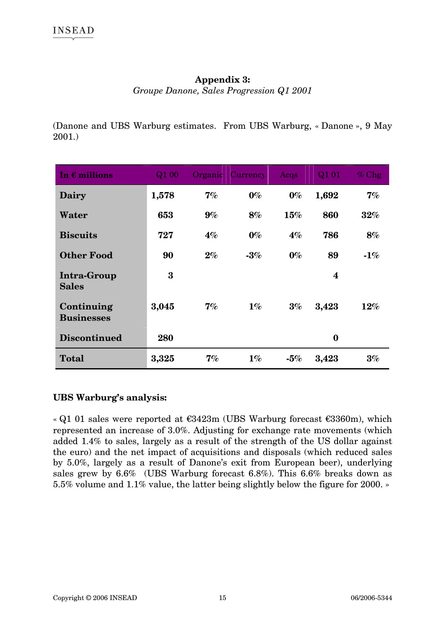#### **Appendix 3:**

*Groupe Danone, Sales Progression Q1 2001* 

(Danone and UBS Warburg estimates. From UBS Warburg, « Danone », 9 May 2001.)

| In $\epsilon$ millions             | $\overline{Q1}$ 00 |       | Organic Currency | Acqs   | Q1 01            | $%$ Chg |
|------------------------------------|--------------------|-------|------------------|--------|------------------|---------|
| Dairy                              | 1,578              | 7%    | $0\%$            | $0\%$  | 1,692            | 7%      |
| Water                              | 653                | $9\%$ | 8%               | 15%    | 860              | $32\%$  |
| <b>Biscuits</b>                    | 727                | $4\%$ | $0\%$            | $4\%$  | 786              | 8%      |
| <b>Other Food</b>                  | 90                 | $2\%$ | $-3\%$           | $0\%$  | 89               | -1%     |
| <b>Intra-Group</b><br><b>Sales</b> | 3                  |       |                  |        | $\boldsymbol{4}$ |         |
| Continuing<br><b>Businesses</b>    | 3,045              | 7%    | $1\%$            | $3\%$  | 3,423            | $12\%$  |
| <b>Discontinued</b>                | 280                |       |                  |        | $\bf{0}$         |         |
| <b>Total</b>                       | 3,325              | $7\%$ | $1\%$            | $-5\%$ | 3,423            | $3\%$   |

#### **UBS Warburg's analysis:**

« Q1 01 sales were reported at  $\epsilon$ 3423m (UBS Warburg forecast  $\epsilon$ 3360m), which represented an increase of 3.0%. Adjusting for exchange rate movements (which added 1.4% to sales, largely as a result of the strength of the US dollar against the euro) and the net impact of acquisitions and disposals (which reduced sales by 5.0%, largely as a result of Danone's exit from European beer), underlying sales grew by 6.6% (UBS Warburg forecast 6.8%). This 6.6% breaks down as 5.5% volume and 1.1% value, the latter being slightly below the figure for 2000. »